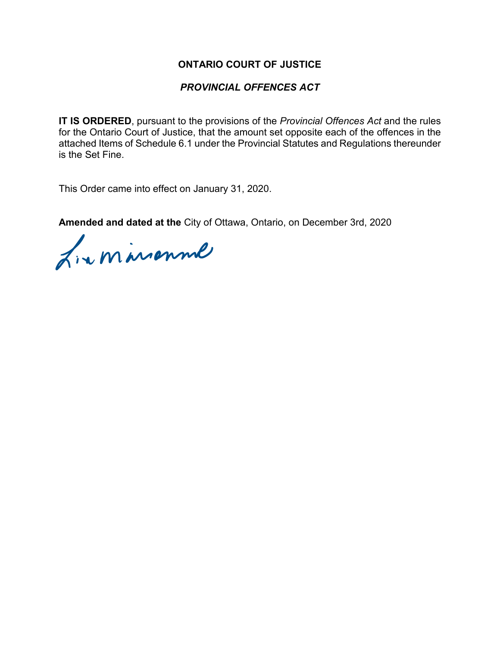### **ONTARIO COURT OF JUSTICE**

### *PROVINCIAL OFFENCES ACT*

**IT IS ORDERED**, pursuant to the provisions of the *Provincial Offences Act* and the rules for the Ontario Court of Justice, that the amount set opposite each of the offences in the attached Items of Schedule 6.1 under the Provincial Statutes and Regulations thereunder is the Set Fine.

This Order came into effect on January 31, 2020.

**Amended and dated at the** City of Ottawa, Ontario, on December 3rd, 2020

L'aminonné